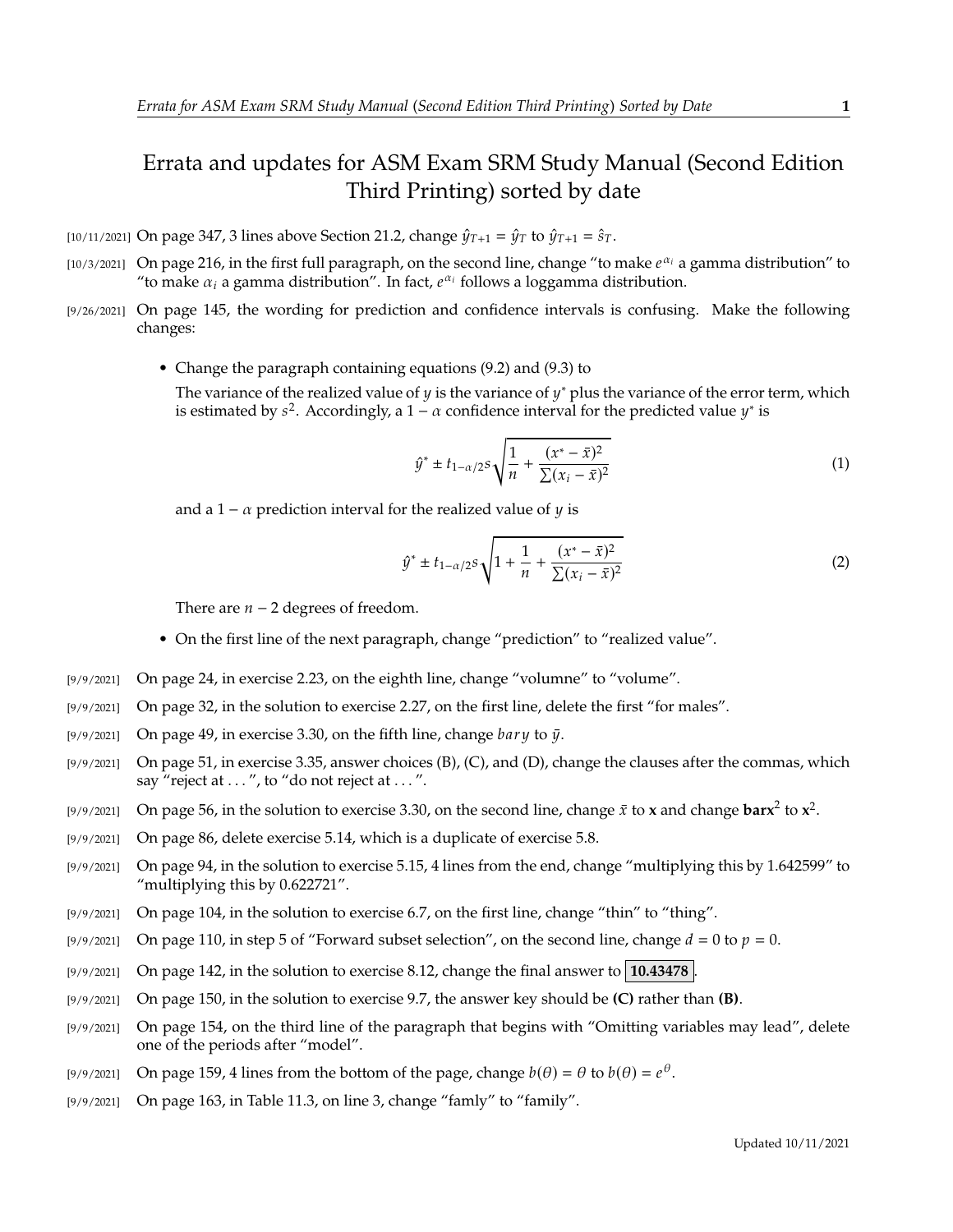## Errata and updates for ASM Exam SRM Study Manual (Second Edition Third Printing) sorted by date

- [10/11/2021] On page 347, 3 lines above Section 21.2, change  $\hat{\psi}_{T+1} = \hat{\psi}_T$  to  $\hat{\psi}_{T+1} = \hat{s}_T$ .
- [10/3/2021] On page 216, in the first full paragraph, on the second line, change "to make  $e^{\alpha_i}$  a gamma distribution" to "to make  $\alpha_i$  a gamma distribution". In fact  $e^{\alpha_i}$  follows a loggamma distribution "to make  $\alpha_i$  a gamma distribution". In fact,  $e^{\alpha_i}$  follows a loggamma distribution.
- [9/26/2021] On page 145, the wording for prediction and confidence intervals is confusing. Make the following changes:
	- Change the paragraph containing equations (9.2) and (9.3) to

The variance of the realized value of y is the variance of y<sup>\*</sup> plus the variance of the error term, which is estimated by  $s^2$ , Accordingly a  $1 - \alpha$  confidence interval for the predicted value  $v^*$  is is estimated by  $s^2$ . Accordingly, a 1 –  $\alpha$  confidence interval for the predicted value  $y^*$  is

$$
\hat{y}^* \pm t_{1-\alpha/2} s \sqrt{\frac{1}{n} + \frac{(x^* - \bar{x})^2}{\sum (x_i - \bar{x})^2}}
$$
(1)

and a 1 –  $\alpha$  prediction interval for the realized value of  $\gamma$  is

$$
\hat{y}^* \pm t_{1-\alpha/2} s \sqrt{1 + \frac{1}{n} + \frac{(x^* - \bar{x})^2}{\sum (x_i - \bar{x})^2}}
$$
(2)

There are  $n - 2$  degrees of freedom.

- On the first line of the next paragraph, change "prediction" to "realized value".
- [9/9/2021] On page 24, in exercise 2.23, on the eighth line, change "volumne" to "volume".
- [9/9/2021] On page 32, in the solution to exercise 2.27, on the first line, delete the first "for males".
- [9/9/2021] On page 49, in exercise 3.30, on the fifth line, change  $bary$  to  $\bar{y}$ .
- [9/9/2021] On page 51, in exercise 3.35, answer choices (B), (C), and (D), change the clauses after the commas, which say "reject at ...", to "do not reject at ...".
- [9/9/2021] On page 56, in the solution to exercise 3.30, on the second line, change  $\bar{x}$  to **x** and change  $\text{barr}^2$  to  $\mathbf{x}^2$ .
- [9/9/2021] On page 86, delete exercise 5.14, which is a duplicate of exercise 5.8.
- [9/9/2021] On page 94, in the solution to exercise 5.15, 4 lines from the end, change "multiplying this by 1.642599" to "multiplying this by 0.622721".
- [9/9/2021] On page 104, in the solution to exercise 6.7, on the first line, change "thin" to "thing".
- [9/9/2021] On page 110, in step 5 of "Forward subset selection", on the second line, change  $d = 0$  to  $p = 0$ .
- [9/9/2021] On page 142, in the solution to exercise 8.12, change the final answer to **10.43478** .
- [9/9/2021] On page 150, in the solution to exercise 9.7, the answer key should be **(C)** rather than **(B)**.
- [9/9/2021] On page 154, on the third line of the paragraph that begins with "Omitting variables may lead", delete one of the periods after "model".
- [9/9/2021] On page 159, 4 lines from the bottom of the page, change  $b(\theta) = \theta$  to  $b(\theta) = e^{\theta}$ .
- [9/9/2021] On page 163, in Table 11.3, on line 3, change "famly" to "family".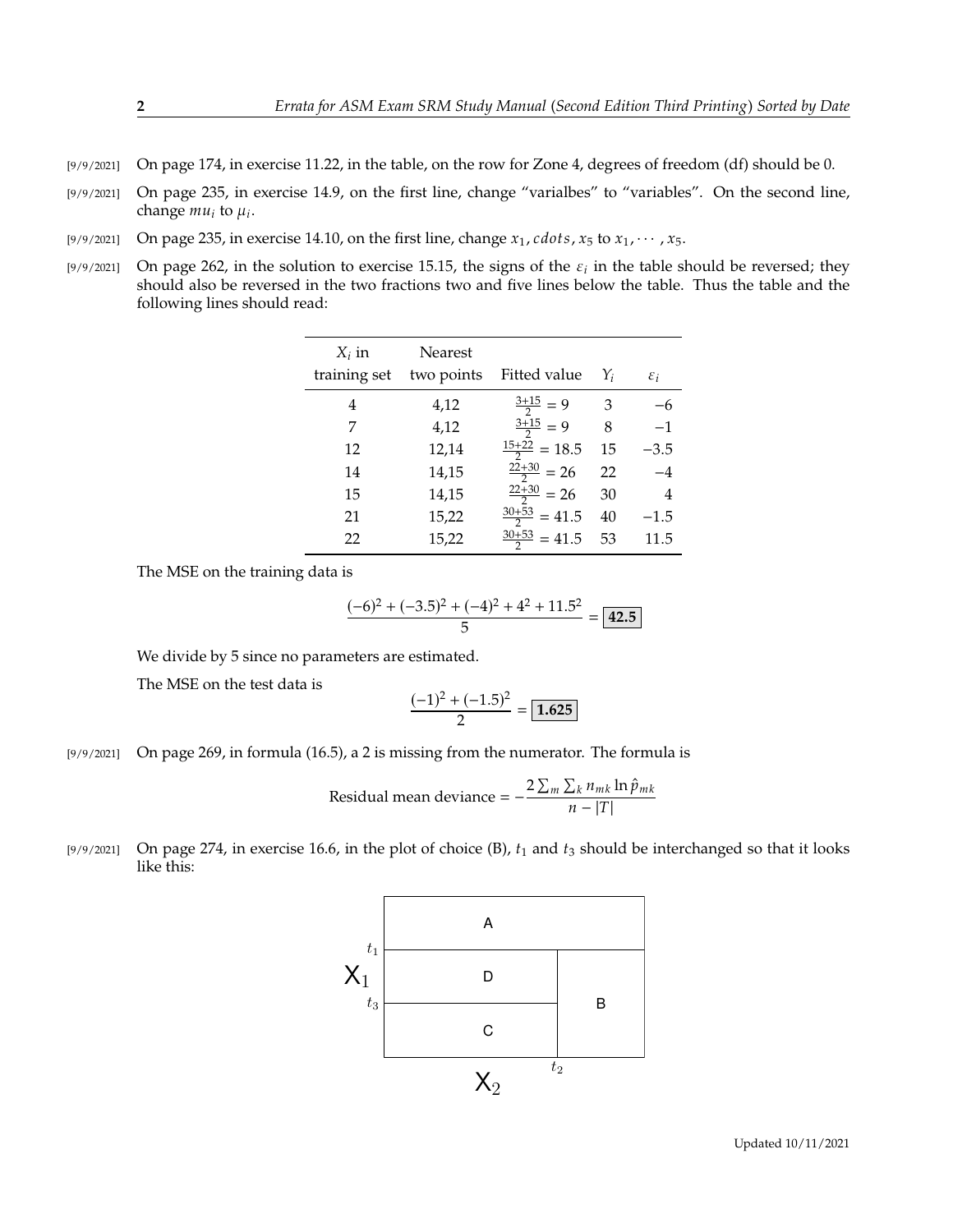- [9/9/2021] On page 174, in exercise 11.22, in the table, on the row for Zone 4, degrees of freedom (df) should be 0.
- [9/9/2021] On page 235, in exercise 14.9, on the first line, change "varialbes" to "variables". On the second line, change  $mu_i$  to  $\mu_i$ .
- [9/9/2021] On page 235, in exercise 14.10, on the first line, change  $x_1$ , cdots,  $x_5$  to  $x_1$ ,  $\cdots$ ,  $x_5$ .
- [9/9/2021] On page 262, in the solution to exercise 15.15, the signs of the  $\varepsilon_i$  in the table should be reversed; they should also be reversed in the two fractions two and five lines below the table. Thus the table and should also be reversed in the two fractions two and five lines below the table. Thus the table and the following lines should read:

| $X_i$ in<br>training set | Nearest<br>two points | Fitted value             | $Y_i$ | $\varepsilon_i$ |
|--------------------------|-----------------------|--------------------------|-------|-----------------|
| 4                        | 4,12                  | $\frac{3+15}{2} = 9$     | 3     | $-6$            |
| 7                        | 4,12                  | $\frac{3+15}{2} = 9$     | 8     | $-1$            |
| 12                       | 12,14                 | $\frac{15+22}{2} = 18.5$ | 15    | $-3.5$          |
| 14                       | 14,15                 | $\frac{22+30}{2}$ = 26   | 22    | $-4$            |
| 15                       | 14,15                 | $\frac{22+30}{2}$ = 26   | 30    | 4               |
| 21                       | 15,22                 | $\frac{30+53}{2}$ = 41.5 | 40    | $-1.5$          |
| 22                       | 15,22                 | $\frac{30+53}{2}$ = 41.5 | 53    | 11.5            |

The MSE on the training data is

$$
\frac{(-6)^2 + (-3.5)^2 + (-4)^2 + 4^2 + 11.5^2}{5} = 42.5
$$

We divide by 5 since no parameters are estimated.

The MSE on the test data is

$$
\frac{(-1)^2 + (-1.5)^2}{2} = \boxed{1.625}
$$

[9/9/2021] On page 269, in formula (16.5), a 2 is missing from the numerator. The formula is

Residual mean deviance = 
$$
-\frac{2\sum_{m}\sum_{k}n_{mk}\ln\hat{p}_{mk}}{n-|T|}
$$

[9/9/2021] On page 274, in exercise 16.6, in the plot of choice (B),  $t_1$  and  $t_3$  should be interchanged so that it looks like this: